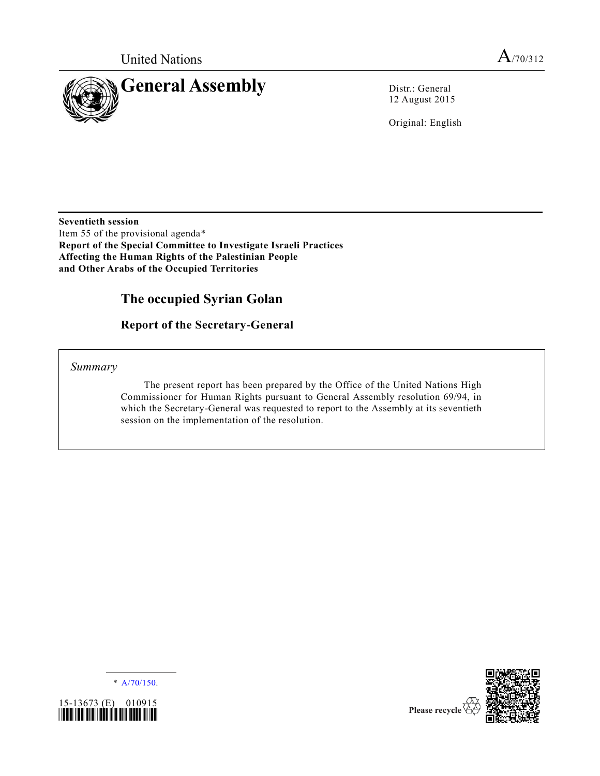

12 August 2015

Original: English

**Seventieth session** Item 55 of the provisional agenda\* **Report of the Special Committee to Investigate Israeli Practices Affecting the Human Rights of the Palestinian People and Other Arabs of the Occupied Territories**

## **The occupied Syrian Golan**

**Report of the Secretary-General**

*Summary*

The present report has been prepared by the Office of the United Nations High Commissioner for Human Rights pursuant to General Assembly resolution 69/94, in which the Secretary-General was requested to report to the Assembly at its seventieth session on the implementation of the resolution.

 $*$  [A/70/150.](http://undocs.org/A/70/150)





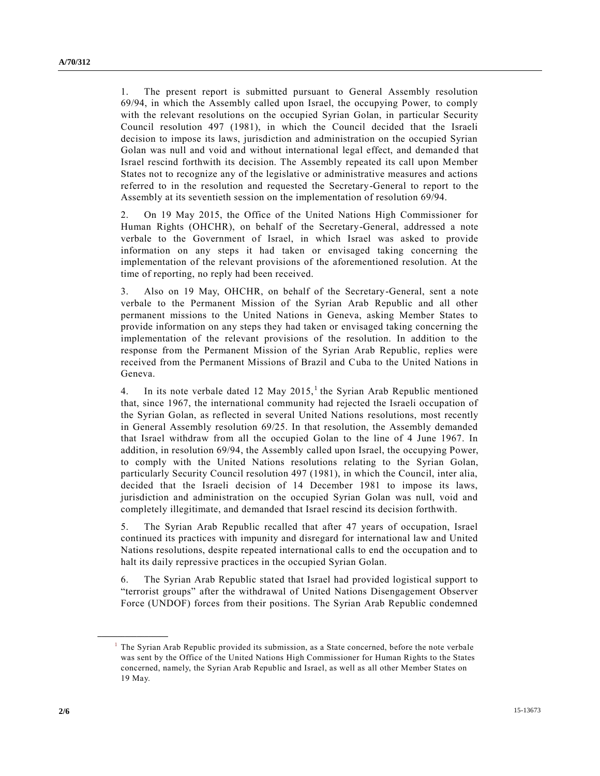1. The present report is submitted pursuant to General Assembly resolution 69/94, in which the Assembly called upon Israel, the occupying Power, to comply with the relevant resolutions on the occupied Syrian Golan, in particular Security Council resolution 497 (1981), in which the Council decided that the Israeli decision to impose its laws, jurisdiction and administration on the occupied Syrian Golan was null and void and without international legal effect, and demanded that Israel rescind forthwith its decision. The Assembly repeated its call upon Member States not to recognize any of the legislative or administrative measures and actions referred to in the resolution and requested the Secretary-General to report to the Assembly at its seventieth session on the implementation of resolution 69/94.

2. On 19 May 2015, the Office of the United Nations High Commissioner for Human Rights (OHCHR), on behalf of the Secretary-General, addressed a note verbale to the Government of Israel, in which Israel was asked to provide information on any steps it had taken or envisaged taking concerning the implementation of the relevant provisions of the aforementioned resolution. At the time of reporting, no reply had been received.

3. Also on 19 May, OHCHR, on behalf of the Secretary-General, sent a note verbale to the Permanent Mission of the Syrian Arab Republic and all other permanent missions to the United Nations in Geneva, asking Member States to provide information on any steps they had taken or envisaged taking concerning the implementation of the relevant provisions of the resolution. In addition to the response from the Permanent Mission of the Syrian Arab Republic, replies were received from the Permanent Missions of Brazil and Cuba to the United Nations in Geneva.

4. In its note verbale dated 12 May  $2015$ , the Syrian Arab Republic mentioned that, since 1967, the international community had rejected the Israeli occupation of the Syrian Golan, as reflected in several United Nations resolutions, most recently in General Assembly resolution 69/25. In that resolution, the Assembly demanded that Israel withdraw from all the occupied Golan to the line of 4 June 1967. In addition, in resolution 69/94, the Assembly called upon Israel, the occupying Power, to comply with the United Nations resolutions relating to the Syrian Golan, particularly Security Council resolution 497 (1981), in which the Council, inter alia, decided that the Israeli decision of 14 December 1981 to impose its laws, jurisdiction and administration on the occupied Syrian Golan was null, void and completely illegitimate, and demanded that Israel rescind its decision forthwith.

5. The Syrian Arab Republic recalled that after 47 years of occupation, Israel continued its practices with impunity and disregard for international law and United Nations resolutions, despite repeated international calls to end the occupation and to halt its daily repressive practices in the occupied Syrian Golan.

6. The Syrian Arab Republic stated that Israel had provided logistical support to "terrorist groups" after the withdrawal of United Nations Disengagement Observer Force (UNDOF) forces from their positions. The Syrian Arab Republic condemned

**\_\_\_\_\_\_\_\_\_\_\_\_\_\_\_\_\_\_**

<sup>&</sup>lt;sup>1</sup> The Syrian Arab Republic provided its submission, as a State concerned, before the note verbale was sent by the Office of the United Nations High Commissioner for Human Rights to the States concerned, namely, the Syrian Arab Republic and Israel, as well as all other Member States on 19 May.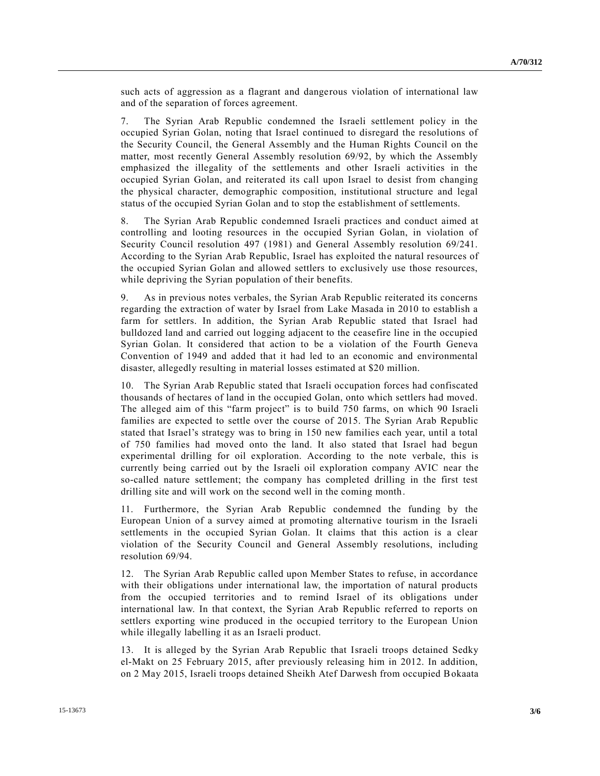such acts of aggression as a flagrant and dangerous violation of international law and of the separation of forces agreement.

7. The Syrian Arab Republic condemned the Israeli settlement policy in the occupied Syrian Golan, noting that Israel continued to disregard the resolutions of the Security Council, the General Assembly and the Human Rights Council on the matter, most recently General Assembly resolution 69/92, by which the Assembly emphasized the illegality of the settlements and other Israeli activities in the occupied Syrian Golan, and reiterated its call upon Israel to desist from changing the physical character, demographic composition, institutional structure and legal status of the occupied Syrian Golan and to stop the establishment of settlements.

8. The Syrian Arab Republic condemned Israeli practices and conduct aimed at controlling and looting resources in the occupied Syrian Golan, in violation of Security Council resolution 497 (1981) and General Assembly resolution 69/241. According to the Syrian Arab Republic, Israel has exploited the natural resources of the occupied Syrian Golan and allowed settlers to exclusively use those resources, while depriving the Syrian population of their benefits.

9. As in previous notes verbales, the Syrian Arab Republic reiterated its concerns regarding the extraction of water by Israel from Lake Masada in 2010 to establish a farm for settlers. In addition, the Syrian Arab Republic stated that Israel had bulldozed land and carried out logging adjacent to the ceasefire line in the occupied Syrian Golan. It considered that action to be a violation of the Fourth Geneva Convention of 1949 and added that it had led to an economic and environmental disaster, allegedly resulting in material losses estimated at \$20 million.

10. The Syrian Arab Republic stated that Israeli occupation forces had confiscated thousands of hectares of land in the occupied Golan, onto which settlers had moved. The alleged aim of this "farm project" is to build 750 farms, on which 90 Israeli families are expected to settle over the course of 2015. The Syrian Arab Republic stated that Israel's strategy was to bring in 150 new families each year, until a total of 750 families had moved onto the land. It also stated that Israel had begun experimental drilling for oil exploration. According to the note verbale, this is currently being carried out by the Israeli oil exploration company AVIC near the so-called nature settlement; the company has completed drilling in the first test drilling site and will work on the second well in the coming month.

11. Furthermore, the Syrian Arab Republic condemned the funding by the European Union of a survey aimed at promoting alternative tourism in the Israeli settlements in the occupied Syrian Golan. It claims that this action is a clear violation of the Security Council and General Assembly resolutions, including resolution 69/94.

12. The Syrian Arab Republic called upon Member States to refuse, in accordance with their obligations under international law, the importation of natural products from the occupied territories and to remind Israel of its obligations under international law. In that context, the Syrian Arab Republic referred to reports on settlers exporting wine produced in the occupied territory to the European Union while illegally labelling it as an Israeli product.

13. It is alleged by the Syrian Arab Republic that Israeli troops detained Sedky el-Makt on 25 February 2015, after previously releasing him in 2012. In addition, on 2 May 2015, Israeli troops detained Sheikh Atef Darwesh from occupied Bokaata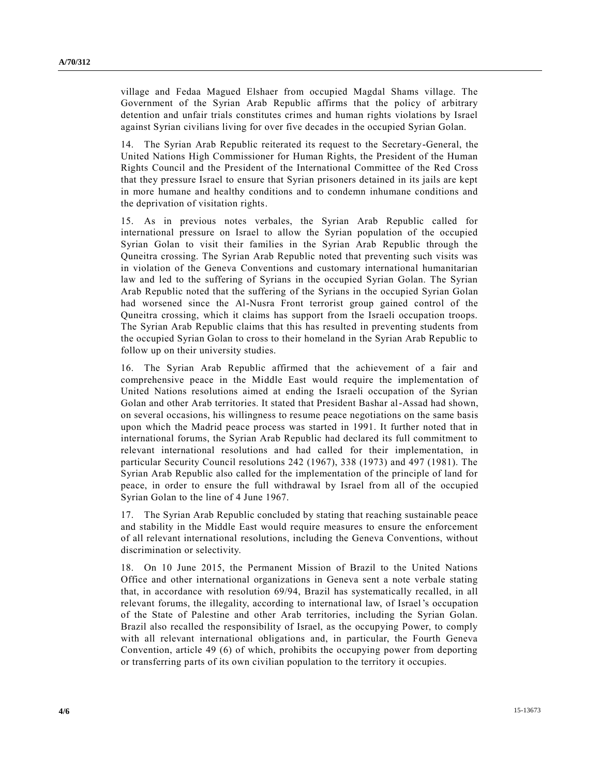village and Fedaa Magued Elshaer from occupied Magdal Shams village. The Government of the Syrian Arab Republic affirms that the policy of arbitrary detention and unfair trials constitutes crimes and human rights violations by Israel against Syrian civilians living for over five decades in the occupied Syrian Golan.

14. The Syrian Arab Republic reiterated its request to the Secretary-General, the United Nations High Commissioner for Human Rights, the President of the Human Rights Council and the President of the International Committee of the Red Cross that they pressure Israel to ensure that Syrian prisoners detained in its jails are kept in more humane and healthy conditions and to condemn inhumane conditions and the deprivation of visitation rights.

15. As in previous notes verbales, the Syrian Arab Republic called for international pressure on Israel to allow the Syrian population of the occupied Syrian Golan to visit their families in the Syrian Arab Republic through the Quneitra crossing. The Syrian Arab Republic noted that preventing such visits was in violation of the Geneva Conventions and customary international humanitarian law and led to the suffering of Syrians in the occupied Syrian Golan. The Syrian Arab Republic noted that the suffering of the Syrians in the occupied Syrian Golan had worsened since the Al-Nusra Front terrorist group gained control of the Quneitra crossing, which it claims has support from the Israeli occupation troops. The Syrian Arab Republic claims that this has resulted in preventing students from the occupied Syrian Golan to cross to their homeland in the Syrian Arab Republic to follow up on their university studies.

16. The Syrian Arab Republic affirmed that the achievement of a fair and comprehensive peace in the Middle East would require the implementation of United Nations resolutions aimed at ending the Israeli occupation of the Syrian Golan and other Arab territories. It stated that President Bashar al-Assad had shown, on several occasions, his willingness to resume peace negotiations on the same basis upon which the Madrid peace process was started in 1991. It further noted that in international forums, the Syrian Arab Republic had declared its full commitment to relevant international resolutions and had called for their implementation, in particular Security Council resolutions 242 (1967), 338 (1973) and 497 (1981). The Syrian Arab Republic also called for the implementation of the principle of land for peace, in order to ensure the full withdrawal by Israel from all of the occupied Syrian Golan to the line of 4 June 1967.

17. The Syrian Arab Republic concluded by stating that reaching sustainable peace and stability in the Middle East would require measures to ensure the enforcement of all relevant international resolutions, including the Geneva Conventions, without discrimination or selectivity.

18. On 10 June 2015, the Permanent Mission of Brazil to the United Nations Office and other international organizations in Geneva sent a note verbale stating that, in accordance with resolution 69/94, Brazil has systematically recalled, in all relevant forums, the illegality, according to international law, of Israel's occupation of the State of Palestine and other Arab territories, including the Syrian Golan. Brazil also recalled the responsibility of Israel, as the occupying Power, to comply with all relevant international obligations and, in particular, the Fourth Geneva Convention, article 49 (6) of which, prohibits the occupying power from deporting or transferring parts of its own civilian population to the territory it occupies.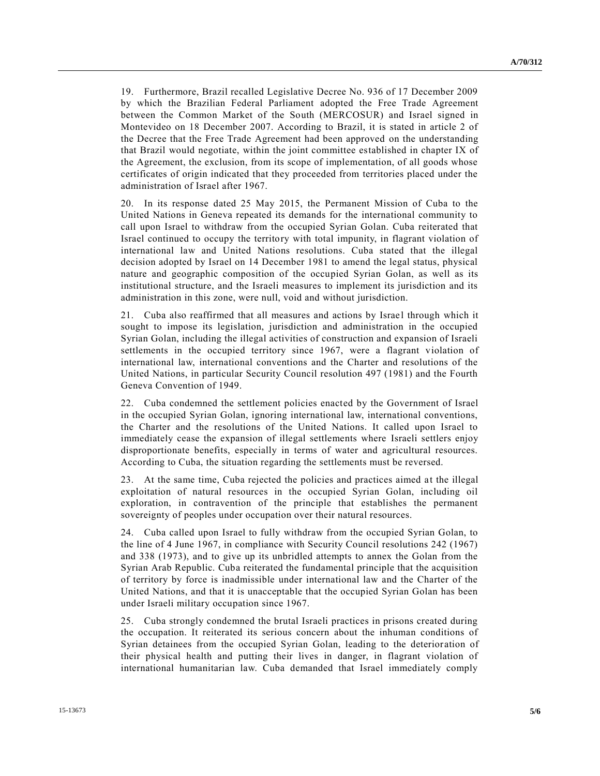19. Furthermore, Brazil recalled Legislative Decree No. 936 of 17 December 2009 by which the Brazilian Federal Parliament adopted the Free Trade Agreement between the Common Market of the South (MERCOSUR) and Israel signed in Montevideo on 18 December 2007. According to Brazil, it is stated in article 2 of the Decree that the Free Trade Agreement had been approved on the understanding that Brazil would negotiate, within the joint committee established in chapter IX of the Agreement, the exclusion, from its scope of implementation, of all goods whose certificates of origin indicated that they proceeded from territories placed under the administration of Israel after 1967.

20. In its response dated 25 May 2015, the Permanent Mission of Cuba to the United Nations in Geneva repeated its demands for the international community to call upon Israel to withdraw from the occupied Syrian Golan. Cuba reiterated that Israel continued to occupy the territory with total impunity, in flagrant violation of international law and United Nations resolutions. Cuba stated that the illegal decision adopted by Israel on 14 December 1981 to amend the legal status, physical nature and geographic composition of the occupied Syrian Golan, as well as its institutional structure, and the Israeli measures to implement its jurisdiction and its administration in this zone, were null, void and without jurisdiction.

21. Cuba also reaffirmed that all measures and actions by Israel through which it sought to impose its legislation, jurisdiction and administration in the occupied Syrian Golan, including the illegal activities of construction and expansion of Israeli settlements in the occupied territory since 1967, were a flagrant violation of international law, international conventions and the Charter and resolutions of the United Nations, in particular Security Council resolution 497 (1981) and the Fourth Geneva Convention of 1949.

22. Cuba condemned the settlement policies enacted by the Government of Israel in the occupied Syrian Golan, ignoring international law, international conventions, the Charter and the resolutions of the United Nations. It called upon Israel to immediately cease the expansion of illegal settlements where Israeli settlers enjoy disproportionate benefits, especially in terms of water and agricultural resources. According to Cuba, the situation regarding the settlements must be reversed.

23. At the same time, Cuba rejected the policies and practices aimed at the illegal exploitation of natural resources in the occupied Syrian Golan, including oil exploration, in contravention of the principle that establishes the permanent sovereignty of peoples under occupation over their natural resources.

24. Cuba called upon Israel to fully withdraw from the occupied Syrian Golan, to the line of 4 June 1967, in compliance with Security Council resolutions 242 (1967) and 338 (1973), and to give up its unbridled attempts to annex the Golan from the Syrian Arab Republic. Cuba reiterated the fundamental principle that the acquisition of territory by force is inadmissible under international law and the Charter of the United Nations, and that it is unacceptable that the occupied Syrian Golan has been under Israeli military occupation since 1967.

25. Cuba strongly condemned the brutal Israeli practices in prisons created during the occupation. It reiterated its serious concern about the inhuman conditions of Syrian detainees from the occupied Syrian Golan, leading to the deterioration of their physical health and putting their lives in danger, in flagrant violation of international humanitarian law. Cuba demanded that Israel immediately comply